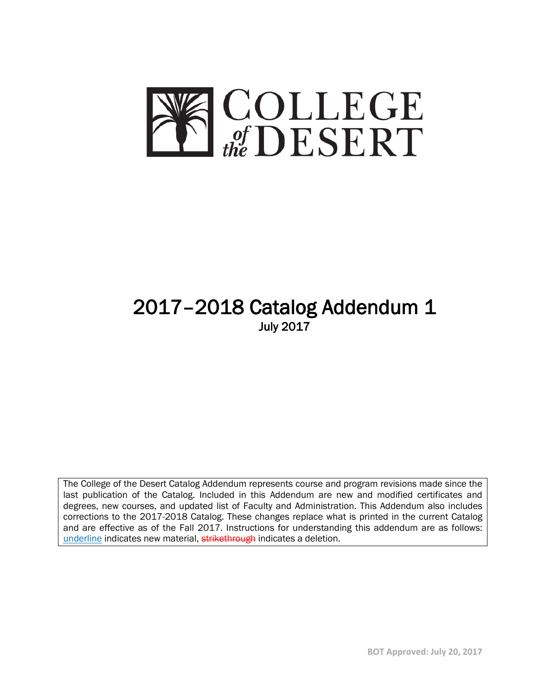

# 2017–2018 Catalog Addendum 1 July 2017

The College of the Desert Catalog Addendum represents course and program revisions made since the last publication of the Catalog. Included in this Addendum are new and modified certificates and degrees, new courses, and updated list of Faculty and Administration. This Addendum also includes corrections to the 2017-2018 Catalog. These changes replace what is printed in the current Catalog and are effective as of the Fall 2017. Instructions for understanding this addendum are as follows: underline indicates new material, strikethrough indicates a deletion.

**BOT Approved: July 20, 2017**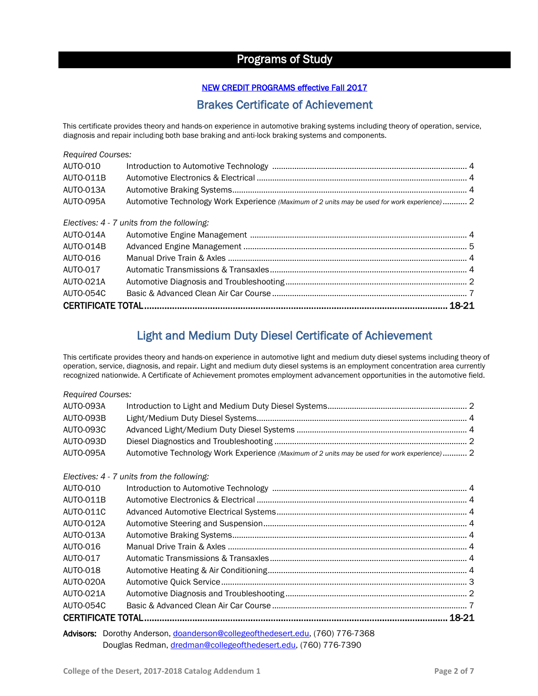# Programs of Study

## NEW CREDIT PROGRAMS effective Fall 2017

## Brakes Certificate of Achievement

This certificate provides theory and hands-on experience in automotive braking systems including theory of operation, service, diagnosis and repair including both base braking and anti-lock braking systems and components.

| <b>Required Courses:</b> |                                                                                              |  |  |
|--------------------------|----------------------------------------------------------------------------------------------|--|--|
| AUTO-010                 |                                                                                              |  |  |
| AUTO-011B                |                                                                                              |  |  |
| AUTO-013A                |                                                                                              |  |  |
| AUTO-095A                | Automotive Technology Work Experience (Maximum of 2 units may be used for work experience) 2 |  |  |
|                          | Electives: 4 - 7 units from the following:                                                   |  |  |
| AUTO-014A                |                                                                                              |  |  |
| AUTO-014B                |                                                                                              |  |  |
| AUTO-016                 |                                                                                              |  |  |
| AUTO-017                 |                                                                                              |  |  |
| AUTO-021A                |                                                                                              |  |  |
| <b>AUTO-054C</b>         |                                                                                              |  |  |
|                          |                                                                                              |  |  |

## Light and Medium Duty Diesel Certificate of Achievement

This certificate provides theory and hands-on experience in automotive light and medium duty diesel systems including theory of operation, service, diagnosis, and repair. Light and medium duty diesel systems is an employment concentration area currently recognized nationwide. A Certificate of Achievement promotes employment advancement opportunities in the automotive field.

| <b>Required Courses:</b> |                                                                                              |  |  |
|--------------------------|----------------------------------------------------------------------------------------------|--|--|
| AUTO-093A                |                                                                                              |  |  |
| AUTO-093B                |                                                                                              |  |  |
| <b>AUTO-093C</b>         |                                                                                              |  |  |
| AUTO-093D                |                                                                                              |  |  |
| AUTO-095A                | Automotive Technology Work Experience (Maximum of 2 units may be used for work experience) 2 |  |  |
|                          | Electives: 4 - 7 units from the following:                                                   |  |  |
| AUTO-010                 |                                                                                              |  |  |
| AUTO-011B                |                                                                                              |  |  |
| AUTO-011C                |                                                                                              |  |  |
| AUTO-012A                |                                                                                              |  |  |
| AUTO-013A                |                                                                                              |  |  |
| AUTO-016                 |                                                                                              |  |  |
| AUTO-017                 |                                                                                              |  |  |
| AUTO-018                 |                                                                                              |  |  |
| AUTO-020A                |                                                                                              |  |  |
| AUTO-021A                |                                                                                              |  |  |
| AUTO-054C                |                                                                                              |  |  |
|                          |                                                                                              |  |  |
|                          | Advisors: Dorothy Anderson, doanderson@collegeofthedesert.edu, (760) 776-7368                |  |  |

Douglas Redman, [dredman@collegeofthedesert.edu,](mailto:dredman@collegeofthedesert.edu) (760) 776-7390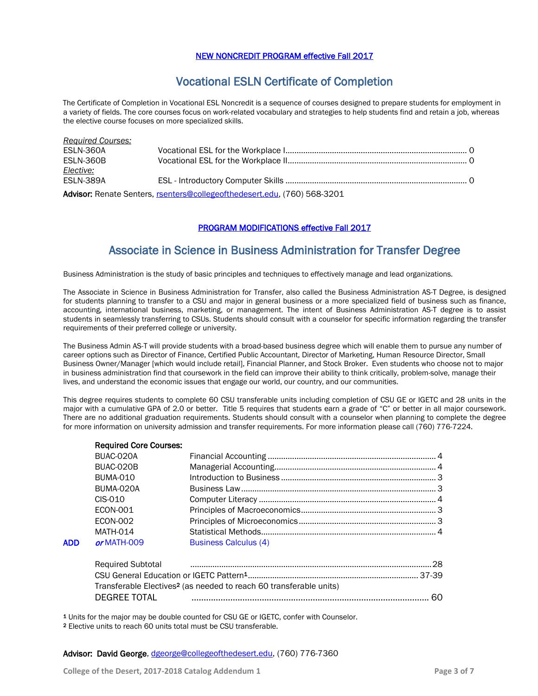### NEW NONCREDIT PROGRAM effective Fall 2017

## Vocational ESLN Certificate of Completion

The Certificate of Completion in Vocational ESL Noncredit is a sequence of courses designed to prepare students for employment in a variety of fields. The core courses focus on work-related vocabulary and strategies to help students find and retain a job, whereas the elective course focuses on more specialized skills.

| <b>Required Courses:</b> |                                                                          |  |
|--------------------------|--------------------------------------------------------------------------|--|
| ESLN-360A                |                                                                          |  |
| ESLN-360B                |                                                                          |  |
| Elective:                |                                                                          |  |
| ESLN-389A                |                                                                          |  |
|                          | Advisor: Renate Senters, rsenters@collegeofthedesert.edu, (760) 568-3201 |  |

#### PROGRAM MODIFICATIONS effective Fall 2017

## Associate in Science in Business Administration for Transfer Degree

Business Administration is the study of basic principles and techniques to effectively manage and lead organizations.

The Associate in Science in Business Administration for Transfer, also called the Business Administration AS-T Degree, is designed for students planning to transfer to a CSU and major in general business or a more specialized field of business such as finance, accounting, international business, marketing, or management. The intent of Business Administration AS-T degree is to assist students in seamlessly transferring to CSUs. Students should consult with a counselor for specific information regarding the transfer requirements of their preferred college or university.

The Business Admin AS-T will provide students with a broad-based business degree which will enable them to pursue any number of career options such as Director of Finance, Certified Public Accountant, Director of Marketing, Human Resource Director, Small Business Owner/Manager [which would include retail], Financial Planner, and Stock Broker. Even students who choose not to major in business administration find that coursework in the field can improve their ability to think critically, problem-solve, manage their lives, and understand the economic issues that engage our world, our country, and our communities.

This degree requires students to complete 60 CSU transferable units including completion of CSU GE or IGETC and 28 units in the major with a cumulative GPA of 2.0 or better. Title 5 requires that students earn a grade of "C" or better in all major coursework. There are no additional graduation requirements. Students should consult with a counselor when planning to complete the degree for more information on university admission and transfer requirements. For more information please call (760) 776-7224.

|     | <b>Required Core Courses:</b> |                                                                                                                            |  |
|-----|-------------------------------|----------------------------------------------------------------------------------------------------------------------------|--|
|     | BUAC-020A                     |                                                                                                                            |  |
|     | BUAC-020B                     |                                                                                                                            |  |
|     | <b>BUMA-010</b>               |                                                                                                                            |  |
|     | BUMA-020A                     |                                                                                                                            |  |
|     | $CIS-010$                     |                                                                                                                            |  |
|     | <b>ECON-001</b>               |                                                                                                                            |  |
|     | <b>ECON-002</b>               |                                                                                                                            |  |
|     | <b>MATH-014</b>               |                                                                                                                            |  |
| ADD | or MATH-009                   | <b>Business Calculus (4)</b>                                                                                               |  |
|     |                               | Required Subtotal material contracts and contracts are contracted to the contract of the contract of the Required Subtotal |  |
|     |                               | Transferable Electives <sup>2</sup> (as needed to reach 60 transferable units)                                             |  |

DEGREE TOTAL .................................................................................................. 60

1 Units for the major may be double counted for CSU GE or IGETC, confer with Counselor.

2 Elective units to reach 60 units total must be CSU transferable.

Advisor: David George, [dgeorge@collegeofthedesert.edu,](mailto:dgeorge@collegeofthedesert.edu) (760) 776-7360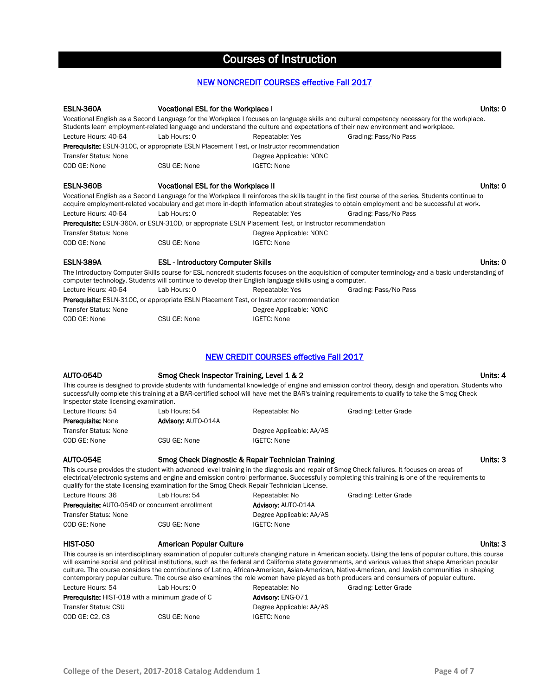# Courses of Instruction

#### NEW NONCREDIT COURSES effective Fall 2017

| <b>ESLN-360A</b>                                        | Vocational ESL for the Workplace I                                                                             |                                               | Units: 0                                                                                                                                                                                                                                                                                          |
|---------------------------------------------------------|----------------------------------------------------------------------------------------------------------------|-----------------------------------------------|---------------------------------------------------------------------------------------------------------------------------------------------------------------------------------------------------------------------------------------------------------------------------------------------------|
|                                                         |                                                                                                                |                                               | Vocational English as a Second Language for the Workplace I focuses on language skills and cultural competency necessary for the workplace.<br>Students learn employment-related language and understand the culture and expectations of their new environment and workplace.                     |
| Lecture Hours: 40-64                                    | Lab Hours: 0                                                                                                   | Repeatable: Yes                               | Grading: Pass/No Pass                                                                                                                                                                                                                                                                             |
|                                                         | <b>Prerequisite:</b> ESLN-310C, or appropriate ESLN Placement Test, or Instructor recommendation               |                                               |                                                                                                                                                                                                                                                                                                   |
| <b>Transfer Status: None</b>                            |                                                                                                                | Degree Applicable: NONC                       |                                                                                                                                                                                                                                                                                                   |
| COD GE: None                                            | CSU GE: None                                                                                                   | <b>IGETC: None</b>                            |                                                                                                                                                                                                                                                                                                   |
| <b>ESLN-360B</b>                                        | <b>Vocational ESL for the Workplace II</b>                                                                     |                                               | Units: 0                                                                                                                                                                                                                                                                                          |
|                                                         |                                                                                                                |                                               | Vocational English as a Second Language for the Workplace II reinforces the skills taught in the first course of the series. Students continue to<br>acquire employment-related vocabulary and get more in-depth information about strategies to obtain employment and be successful at work.     |
| Lecture Hours: 40-64                                    | Lab Hours: 0                                                                                                   | Repeatable: Yes                               | Grading: Pass/No Pass                                                                                                                                                                                                                                                                             |
|                                                         | <b>Prerequisite:</b> ESLN-360A, or ESLN-310D, or appropriate ESLN Placement Test, or Instructor recommendation |                                               |                                                                                                                                                                                                                                                                                                   |
| <b>Transfer Status: None</b>                            |                                                                                                                | Degree Applicable: NONC                       |                                                                                                                                                                                                                                                                                                   |
| COD GE: None                                            | CSU GE: None                                                                                                   | <b>IGETC: None</b>                            |                                                                                                                                                                                                                                                                                                   |
|                                                         |                                                                                                                |                                               |                                                                                                                                                                                                                                                                                                   |
| <b>ESLN-389A</b>                                        | <b>ESL - Introductory Computer Skills</b>                                                                      |                                               | Units: 0                                                                                                                                                                                                                                                                                          |
|                                                         | computer technology. Students will continue to develop their English language skills using a computer.         |                                               | The Introductory Computer Skills course for ESL noncredit students focuses on the acquisition of computer terminology and a basic understanding of                                                                                                                                                |
| Lecture Hours: 40-64                                    | Lab Hours: 0                                                                                                   | Repeatable: Yes                               | Grading: Pass/No Pass                                                                                                                                                                                                                                                                             |
|                                                         | <b>Prerequisite:</b> ESLN-310C, or appropriate ESLN Placement Test, or Instructor recommendation               |                                               |                                                                                                                                                                                                                                                                                                   |
| <b>Transfer Status: None</b>                            |                                                                                                                | Degree Applicable: NONC                       |                                                                                                                                                                                                                                                                                                   |
| COD GE: None                                            | CSU GE: None                                                                                                   | <b>IGETC: None</b>                            |                                                                                                                                                                                                                                                                                                   |
|                                                         |                                                                                                                | <b>NEW CREDIT COURSES effective Fall 2017</b> |                                                                                                                                                                                                                                                                                                   |
| AUTO-054D                                               | Smog Check Inspector Training, Level 1 & 2                                                                     |                                               | Units: 4                                                                                                                                                                                                                                                                                          |
| Inspector state licensing examination.                  |                                                                                                                |                                               | This course is designed to provide students with fundamental knowledge of engine and emission control theory, design and operation. Students who<br>successfully complete this training at a BAR-certified school will have met the BAR's training requirements to qualify to take the Smog Check |
| Lecture Hours: 54                                       | Lab Hours: 54                                                                                                  | Repeatable: No                                | Grading: Letter Grade                                                                                                                                                                                                                                                                             |
| <b>Prerequisite: None</b>                               | <b>Advisory: AUTO-014A</b>                                                                                     |                                               |                                                                                                                                                                                                                                                                                                   |
| <b>Transfer Status: None</b>                            |                                                                                                                | Degree Applicable: AA/AS                      |                                                                                                                                                                                                                                                                                                   |
| COD GE: None                                            | CSU GE: None                                                                                                   | <b>IGETC: None</b>                            |                                                                                                                                                                                                                                                                                                   |
| <b>AUTO-054E</b>                                        | Smog Check Diagnostic & Repair Technician Training                                                             |                                               | Units: 3                                                                                                                                                                                                                                                                                          |
|                                                         | qualify for the state licensing examination for the Smog Check Repair Technician License.                      |                                               | This course provides the student with advanced level training in the diagnosis and repair of Smog Check failures. It focuses on areas of<br>electrical/electronic systems and engine and emission control performance. Successfully completing this training is one of the requirements to        |
| Lecture Hours: 36                                       | Lab Hours: 54                                                                                                  | Repeatable: No                                | Grading: Letter Grade                                                                                                                                                                                                                                                                             |
| <b>Prerequisite:</b> AUTO-054D or concurrent enrollment |                                                                                                                | Advisory: AUTO-014A                           |                                                                                                                                                                                                                                                                                                   |
| <b>Transfer Status: None</b>                            |                                                                                                                | Degree Applicable: AA/AS                      |                                                                                                                                                                                                                                                                                                   |
| COD GE: None                                            | CSU GE: None                                                                                                   | <b>IGETC: None</b>                            |                                                                                                                                                                                                                                                                                                   |
| <b>HIST-050</b>                                         | American Popular Culture                                                                                       |                                               | Units: 3                                                                                                                                                                                                                                                                                          |
|                                                         |                                                                                                                |                                               | This course is an interdisciplinary examination of popular culture's changing nature in American society. Using the lens of popular culture, this course                                                                                                                                          |
|                                                         |                                                                                                                |                                               | will examine social and political institutions, such as the federal and California state governments, and various values that shape American popular                                                                                                                                              |

will examine social and political institutions, such as the federal and California state governments, and various values that shape American popular culture. The course considers the contributions of Latino, African-American, Asian-American, Native-American, and Jewish communities in shaping contemporary popular culture. The course also examines the role women have played as both producers and consumers of popular culture. Lecture Hours: 54 Lab Hours: 0 Repeatable: No Grading: Letter Grade

Prerequisite: HIST-018 with a minimum grade of C Advisory: ENG-071 Transfer Status: CSU Degree Applicable: AA/AS COD GE: C2, C3 CSU GE: None IGETC: None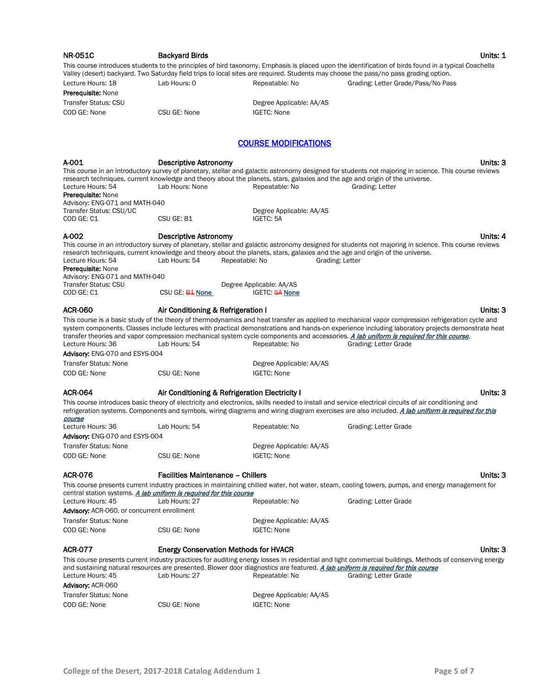| <b>NR-051C</b>                                                                          | <b>Backyard Birds</b>                          |                                       | Units: 1                                                                                                                                                                                                                                                                                                                                                                                                                                                                 |
|-----------------------------------------------------------------------------------------|------------------------------------------------|---------------------------------------|--------------------------------------------------------------------------------------------------------------------------------------------------------------------------------------------------------------------------------------------------------------------------------------------------------------------------------------------------------------------------------------------------------------------------------------------------------------------------|
|                                                                                         |                                                |                                       | This course introduces students to the principles of bird taxonomy. Emphasis is placed upon the identification of birds found in a typical Coachella<br>Valley (desert) backyard. Two Saturday field trips to local sites are required. Students may choose the pass/no pass grading option.                                                                                                                                                                             |
| Lecture Hours: 18                                                                       | Lab Hours: 0                                   | Repeatable: No                        | Grading: Letter Grade/Pass/No Pass                                                                                                                                                                                                                                                                                                                                                                                                                                       |
| <b>Prerequisite: None</b>                                                               |                                                |                                       |                                                                                                                                                                                                                                                                                                                                                                                                                                                                          |
| <b>Transfer Status: CSU</b>                                                             |                                                | Degree Applicable: AA/AS              |                                                                                                                                                                                                                                                                                                                                                                                                                                                                          |
| COD GE: None                                                                            | CSU GE: None                                   | <b>IGETC: None</b>                    |                                                                                                                                                                                                                                                                                                                                                                                                                                                                          |
|                                                                                         |                                                | <b>COURSE MODIFICATIONS</b>           |                                                                                                                                                                                                                                                                                                                                                                                                                                                                          |
| A-001                                                                                   | <b>Descriptive Astronomy</b>                   |                                       | Units: 3                                                                                                                                                                                                                                                                                                                                                                                                                                                                 |
|                                                                                         |                                                |                                       | This course in an introductory survey of planetary, stellar and galactic astronomy designed for students not majoring in science. This course reviews                                                                                                                                                                                                                                                                                                                    |
| Lecture Hours: 54                                                                       | Lab Hours: None                                | Repeatable: No                        | research techniques, current knowledge and theory about the planets, stars, galaxies and the age and origin of the universe.<br>Grading: Letter                                                                                                                                                                                                                                                                                                                          |
| <b>Prerequisite: None</b>                                                               |                                                |                                       |                                                                                                                                                                                                                                                                                                                                                                                                                                                                          |
| Advisory: ENG-071 and MATH-040                                                          |                                                |                                       |                                                                                                                                                                                                                                                                                                                                                                                                                                                                          |
| Transfer Status: CSU/UC<br>COD GE: C1                                                   | CSU GE: B1                                     | Degree Applicable: AA/AS<br>IGETC: 5A |                                                                                                                                                                                                                                                                                                                                                                                                                                                                          |
| A-002                                                                                   | <b>Descriptive Astronomy</b>                   |                                       | Units: 4                                                                                                                                                                                                                                                                                                                                                                                                                                                                 |
|                                                                                         |                                                |                                       | This course in an introductory survey of planetary, stellar and galactic astronomy designed for students not majoring in science. This course reviews                                                                                                                                                                                                                                                                                                                    |
| Lecture Hours: 54<br><b>Prerequisite: None</b>                                          | Lab Hours: 54                                  | Repeatable: No                        | research techniques, current knowledge and theory about the planets, stars, galaxies and the age and origin of the universe.<br>Grading: Letter                                                                                                                                                                                                                                                                                                                          |
| Advisory: ENG-071 and MATH-040                                                          |                                                |                                       |                                                                                                                                                                                                                                                                                                                                                                                                                                                                          |
| Transfer Status: CSU                                                                    |                                                | Degree Applicable: AA/AS              |                                                                                                                                                                                                                                                                                                                                                                                                                                                                          |
| COD GE: C1                                                                              | CSU GE: <b>B1 None</b>                         | <b>IGETC: 5A None</b>                 |                                                                                                                                                                                                                                                                                                                                                                                                                                                                          |
| <b>ACR-060</b>                                                                          | Air Conditioning & Refrigeration I             |                                       | Units: 3                                                                                                                                                                                                                                                                                                                                                                                                                                                                 |
| Lecture Hours: 36                                                                       | Lab Hours: 54                                  | Repeatable: No                        | This course is a basic study of the theory of thermodynamics and heat transfer as applied to mechanical vapor compression refrigeration cycle and<br>system components. Classes include lectures with practical demonstrations and hands-on experience including laboratory projects demonstrate heat<br>transfer theories and vapor compression mechanical system cycle components and accessories. A lab uniform is required for this course.<br>Grading: Letter Grade |
| Advisory: ENG-070 and ESYS-004                                                          |                                                |                                       |                                                                                                                                                                                                                                                                                                                                                                                                                                                                          |
| <b>Transfer Status: None</b>                                                            |                                                | Degree Applicable: AA/AS              |                                                                                                                                                                                                                                                                                                                                                                                                                                                                          |
| COD GE: None                                                                            | CSU GE: None                                   | <b>IGETC: None</b>                    |                                                                                                                                                                                                                                                                                                                                                                                                                                                                          |
| <b>ACR-064</b>                                                                          | Air Conditioning & Refrigeration Electricity I |                                       | Units: 3                                                                                                                                                                                                                                                                                                                                                                                                                                                                 |
|                                                                                         |                                                |                                       | This course introduces basic theory of electricity and electronics, skills needed to install and service electrical circuits of air conditioning and                                                                                                                                                                                                                                                                                                                     |
| course                                                                                  |                                                |                                       | refrigeration systems. Components and symbols, wiring diagrams and wiring diagram exercises are also included. A lab uniform is required for this                                                                                                                                                                                                                                                                                                                        |
| Lecture Hours: 36                                                                       | Lab Hours: 54                                  | Repeatable: No                        | Grading: Letter Grade                                                                                                                                                                                                                                                                                                                                                                                                                                                    |
| Advisory: ENG-070 and ESYS-004                                                          |                                                |                                       |                                                                                                                                                                                                                                                                                                                                                                                                                                                                          |
| Transfer Status: None                                                                   |                                                | Degree Applicable: AA/AS              |                                                                                                                                                                                                                                                                                                                                                                                                                                                                          |
| COD GE: None                                                                            | CSU GE: None                                   | IGETC: None                           |                                                                                                                                                                                                                                                                                                                                                                                                                                                                          |
| <b>ACR-076</b>                                                                          | <b>Facilities Maintenance - Chillers</b>       |                                       | Units: 3                                                                                                                                                                                                                                                                                                                                                                                                                                                                 |
|                                                                                         |                                                |                                       | This course presents current industry practices in maintaining chilled water, hot water, steam, cooling towers, pumps, and energy management for                                                                                                                                                                                                                                                                                                                         |
| central station systems. A lab uniform is required for this course<br>Lecture Hours: 45 | Lab Hours: 27                                  | Repeatable: No                        | Grading: Letter Grade                                                                                                                                                                                                                                                                                                                                                                                                                                                    |
| Advisory: ACR-060, or concurrent enrollment                                             |                                                |                                       |                                                                                                                                                                                                                                                                                                                                                                                                                                                                          |
| <b>Transfer Status: None</b>                                                            |                                                | Degree Applicable: AA/AS              |                                                                                                                                                                                                                                                                                                                                                                                                                                                                          |
| COD GE: None                                                                            | CSU GE: None                                   | <b>IGETC: None</b>                    |                                                                                                                                                                                                                                                                                                                                                                                                                                                                          |
| <b>ACR-077</b>                                                                          | <b>Energy Conservation Methods for HVACR</b>   |                                       | Units: 3                                                                                                                                                                                                                                                                                                                                                                                                                                                                 |
|                                                                                         |                                                |                                       | This course presents current industry practices for auditing energy losses in residential and light commercial buildings. Methods of conserving energy                                                                                                                                                                                                                                                                                                                   |
| Lecture Hours: 45                                                                       | Lab Hours: 27                                  | Repeatable: No                        | and sustaining natural resources are presented. Blower door diagnostics are featured. A lab uniform is required for this course<br>Grading: Letter Grade                                                                                                                                                                                                                                                                                                                 |
| Advisory: ACR-060                                                                       |                                                |                                       |                                                                                                                                                                                                                                                                                                                                                                                                                                                                          |
| <b>Transfer Status: None</b>                                                            |                                                | Degree Applicable: AA/AS              |                                                                                                                                                                                                                                                                                                                                                                                                                                                                          |
| COD GE: None                                                                            | CSU GE: None                                   | <b>IGETC: None</b>                    |                                                                                                                                                                                                                                                                                                                                                                                                                                                                          |
|                                                                                         |                                                |                                       |                                                                                                                                                                                                                                                                                                                                                                                                                                                                          |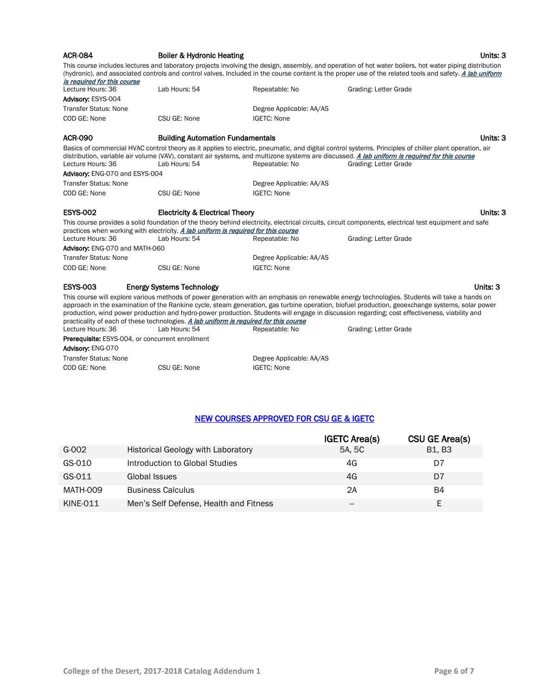| <b>ACR-084</b>                                                 | <b>Boiler &amp; Hydronic Heating</b>                                                  |                                                | Units: 3                                                                                                                                                                                                                                                                                                                                                                                                                                          |
|----------------------------------------------------------------|---------------------------------------------------------------------------------------|------------------------------------------------|---------------------------------------------------------------------------------------------------------------------------------------------------------------------------------------------------------------------------------------------------------------------------------------------------------------------------------------------------------------------------------------------------------------------------------------------------|
| is required for this course                                    |                                                                                       |                                                | This course includes lectures and laboratory projects involving the design, assembly, and operation of hot water boilers, hot water piping distribution<br>(hydronic), and associated controls and control valves. Included in the course content is the proper use of the related tools and safety. A lab uniform                                                                                                                                |
| Lecture Hours: 36                                              | Lab Hours: 54                                                                         | Repeatable: No                                 | Grading: Letter Grade                                                                                                                                                                                                                                                                                                                                                                                                                             |
| Advisory: ESYS-004                                             |                                                                                       |                                                |                                                                                                                                                                                                                                                                                                                                                                                                                                                   |
| <b>Transfer Status: None</b>                                   |                                                                                       | Degree Applicable: AA/AS                       |                                                                                                                                                                                                                                                                                                                                                                                                                                                   |
| COD GE: None                                                   | CSU GE: None                                                                          | <b>IGETC: None</b>                             |                                                                                                                                                                                                                                                                                                                                                                                                                                                   |
| <b>ACR-090</b>                                                 | <b>Building Automation Fundamentals</b>                                               |                                                | Units: 3                                                                                                                                                                                                                                                                                                                                                                                                                                          |
| Lecture Hours: 36                                              | Lab Hours: 54                                                                         | Repeatable: No                                 | Basics of commercial HVAC control theory as it applies to electric, pneumatic, and digital control systems. Principles of chiller plant operation, air<br>distribution, variable air volume (VAV), constant air systems, and multizone systems are discussed. A lab uniform is required for this course<br>Grading: Letter Grade                                                                                                                  |
| Advisory: ENG-070 and ESYS-004<br><b>Transfer Status: None</b> |                                                                                       |                                                |                                                                                                                                                                                                                                                                                                                                                                                                                                                   |
| COD GE: None                                                   | CSU GE: None                                                                          | Degree Applicable: AA/AS<br><b>IGETC: None</b> |                                                                                                                                                                                                                                                                                                                                                                                                                                                   |
| <b>ESYS-002</b>                                                | <b>Electricity &amp; Electrical Theory</b>                                            |                                                | Units: 3                                                                                                                                                                                                                                                                                                                                                                                                                                          |
|                                                                | practices when working with electricity. A lab uniform is required for this course    |                                                | This course provides a solid foundation of the theory behind electricity, electrical circuits, circuit components, electrical test equipment and safe                                                                                                                                                                                                                                                                                             |
| Lecture Hours: 36                                              | Lab Hours: 54                                                                         | Repeatable: No                                 | Grading: Letter Grade                                                                                                                                                                                                                                                                                                                                                                                                                             |
| Advisory: ENG-070 and MATH-060                                 |                                                                                       |                                                |                                                                                                                                                                                                                                                                                                                                                                                                                                                   |
| <b>Transfer Status: None</b>                                   |                                                                                       | Degree Applicable: AA/AS                       |                                                                                                                                                                                                                                                                                                                                                                                                                                                   |
| COD GE: None                                                   | CSU GE: None                                                                          | <b>IGETC: None</b>                             |                                                                                                                                                                                                                                                                                                                                                                                                                                                   |
| <b>ESYS-003</b>                                                | <b>Energy Systems Technology</b>                                                      |                                                | Units: 3                                                                                                                                                                                                                                                                                                                                                                                                                                          |
|                                                                | practicality of each of these technologies. A lab uniform is required for this course |                                                | This course will explore various methods of power generation with an emphasis on renewable energy technologies. Students will take a hands on<br>approach in the examination of the Rankine cycle, steam generation, gas turbine operation, biofuel production, geoexchange systems, solar power<br>production, wind power production and hydro-power production. Students will engage in discussion regarding; cost effectiveness, viability and |
| Lecture Hours: 36                                              | Lab Hours: 54                                                                         | Repeatable: No                                 | Grading: Letter Grade                                                                                                                                                                                                                                                                                                                                                                                                                             |
| Prerequisite: ESYS-004, or concurrent enrollment               |                                                                                       |                                                |                                                                                                                                                                                                                                                                                                                                                                                                                                                   |
| Advisory: ENG-070                                              |                                                                                       |                                                |                                                                                                                                                                                                                                                                                                                                                                                                                                                   |
| <b>Transfer Status: None</b>                                   |                                                                                       | Degree Applicable: AA/AS                       |                                                                                                                                                                                                                                                                                                                                                                                                                                                   |
| COD GE: None                                                   | CSU GE: None                                                                          | <b>IGETC: None</b>                             |                                                                                                                                                                                                                                                                                                                                                                                                                                                   |

## NEW COURSES APPROVED FOR CSU GE & IGETC

|          |                                           | <b>IGETC Area(s)</b> | CSU GE Area(s) |
|----------|-------------------------------------------|----------------------|----------------|
| G-002    | <b>Historical Geology with Laboratory</b> | 5A, 5C               | <b>B1, B3</b>  |
| GS-010   | Introduction to Global Studies            | 4G                   | D7             |
| GS-011   | Global Issues                             | 4G                   | D7             |
| MATH-009 | <b>Business Calculus</b>                  | 2A                   | B4             |
| KINE-011 | Men's Self Defense, Health and Fitness    | --                   |                |